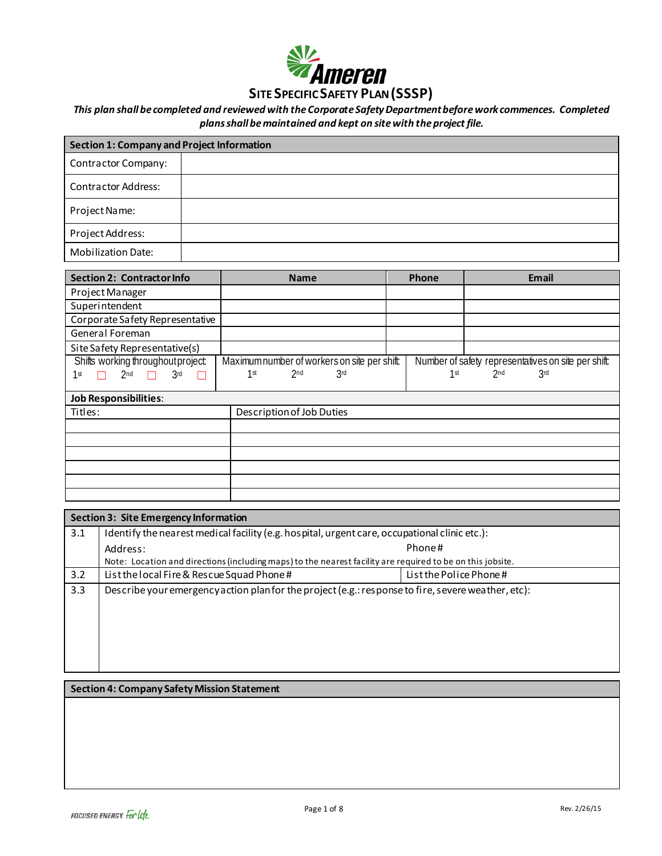

#### *This plan shall be completed and reviewed with the Corporate Safety Department beforework commences. Completed plans shall be maintained and kept on site with the project file.*

| Section 1: Company and Project Information                   |        |                           |                 |                                              |                 |                 |                                                     |
|--------------------------------------------------------------|--------|---------------------------|-----------------|----------------------------------------------|-----------------|-----------------|-----------------------------------------------------|
| Contractor Company:                                          |        |                           |                 |                                              |                 |                 |                                                     |
| <b>Contractor Address:</b>                                   |        |                           |                 |                                              |                 |                 |                                                     |
| Project Name:                                                |        |                           |                 |                                              |                 |                 |                                                     |
| Project Address:                                             |        |                           |                 |                                              |                 |                 |                                                     |
| <b>Mobilization Date:</b>                                    |        |                           |                 |                                              |                 |                 |                                                     |
| <b>Section 2: Contractor Info</b>                            |        |                           | <b>Name</b>     |                                              | Phone           |                 | <b>Email</b>                                        |
| Project Manager                                              |        |                           |                 |                                              |                 |                 |                                                     |
| Superintendent                                               |        |                           |                 |                                              |                 |                 |                                                     |
| Corporate Safety Representative                              |        |                           |                 |                                              |                 |                 |                                                     |
| General Foreman                                              |        |                           |                 |                                              |                 |                 |                                                     |
| Site Safety Repres entative(s)                               |        |                           |                 |                                              |                 |                 |                                                     |
| Shifts working throughout project:                           |        |                           |                 | Maximum number of workers on site per shift: |                 |                 | Number of safety representatives on site per shift: |
| $2nd$ $\Box$<br>3 <sub>rd</sub><br>1 <sup>st</sup><br>$\Box$ | $\Box$ | 1 <sup>st</sup>           | 2 <sub>nd</sub> | 3 <sub>rd</sub>                              | 1 <sup>st</sup> | 2 <sub>nd</sub> | 3 <sub>rd</sub>                                     |
| <b>Job Responsibilities:</b>                                 |        |                           |                 |                                              |                 |                 |                                                     |
| Titles:                                                      |        | Description of Job Duties |                 |                                              |                 |                 |                                                     |
|                                                              |        |                           |                 |                                              |                 |                 |                                                     |
|                                                              |        |                           |                 |                                              |                 |                 |                                                     |
|                                                              |        |                           |                 |                                              |                 |                 |                                                     |
|                                                              |        |                           |                 |                                              |                 |                 |                                                     |
|                                                              |        |                           |                 |                                              |                 |                 |                                                     |
|                                                              |        |                           |                 |                                              |                 |                 |                                                     |
| <b>Section 3: Site Emergency Information</b>                 |        |                           |                 |                                              |                 |                 |                                                     |

|     | Section 3: Site Emergency Information                                                                      |                         |  |  |  |  |
|-----|------------------------------------------------------------------------------------------------------------|-------------------------|--|--|--|--|
| 3.1 | Identify the nearest medical facility (e.g. hospital, urgent care, occupational clinic etc.):              |                         |  |  |  |  |
|     | Phone#<br>Address:                                                                                         |                         |  |  |  |  |
|     | Note: Location and directions (including maps) to the nearest facility are required to be on this jobsite. |                         |  |  |  |  |
| 3.2 | List the local Fire & Rescue Squad Phone #                                                                 | List the Police Phone # |  |  |  |  |
| 3.3 | Describe your emergency action plan for the project (e.g.: response to fire, severe weather, etc):         |                         |  |  |  |  |
|     |                                                                                                            |                         |  |  |  |  |

**Section 4: Company Safety Mission Statement**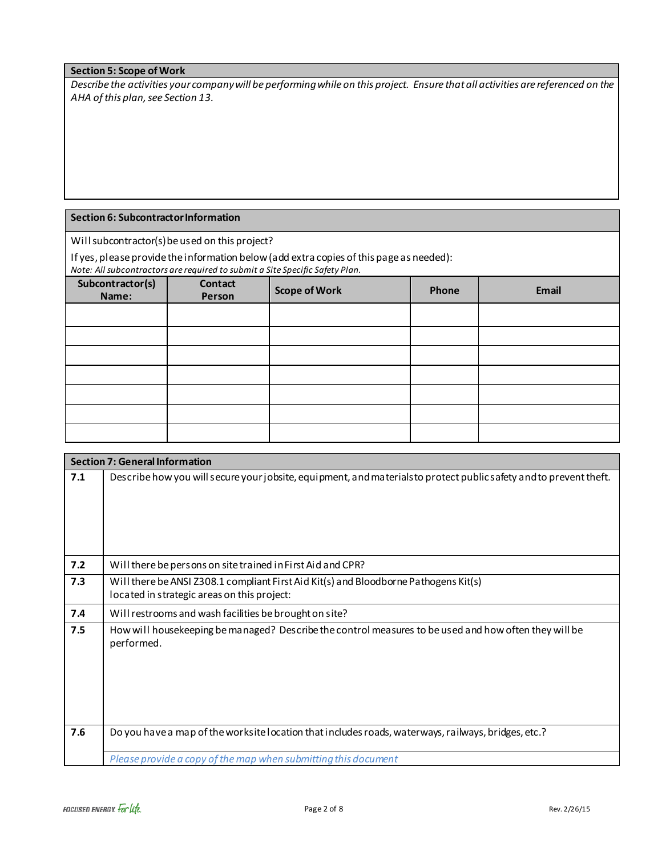#### **Section 5: Scope of Work**

*Describe the activities your company will be performing while on this project. Ensure that all activities are referenced on the AHA of this plan, see Section 13.*

### **Section 6: Subcontractor Information**

Will subcontractor(s) be used on this project?

If yes, please provide the information below (add extra copies of this page as needed):

*Note: All subcontractors are required to submit a Site Specific Safety Plan.*

| Subcontractor(s)<br>Name: | Contact<br>Person | <b>Scope of Work</b> | Phone | <b>Email</b> |
|---------------------------|-------------------|----------------------|-------|--------------|
|                           |                   |                      |       |              |
|                           |                   |                      |       |              |
|                           |                   |                      |       |              |
|                           |                   |                      |       |              |
|                           |                   |                      |       |              |
|                           |                   |                      |       |              |
|                           |                   |                      |       |              |

|       | <b>Section 7: General Information</b>                                                                                               |
|-------|-------------------------------------------------------------------------------------------------------------------------------------|
| 7.1   | Describe how you will secure your jobsite, equipment, and materials to protect public safety and to prevent theft.                  |
| $7.2$ | Will there be persons on site trained in First Aid and CPR?                                                                         |
| 7.3   | Will there be ANSI Z308.1 compliant First Aid Kit(s) and Bloodborne Pathogens Kit(s)<br>located in strategic areas on this project: |
| 7.4   | Will restrooms and wash facilities be brought on site?                                                                              |
| 7.5   | How will housekeeping be managed? Describe the control measures to be used and how often they will be<br>performed.                 |
| 7.6   | Do you have a map of the worksite location that includes roads, waterways, railways, bridges, etc.?                                 |
|       | Please provide a copy of the map when submitting this document                                                                      |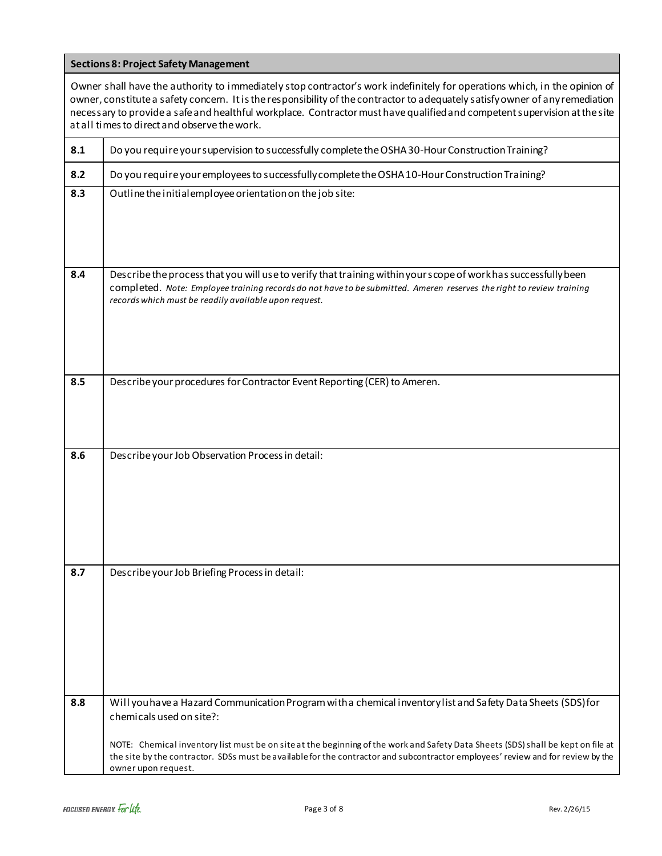| Owner shall have the authority to immediately stop contractor's work indefinitely for operations which, in the opinion of<br>owner, constitute a safety concern. It is the responsibility of the contractor to adequately satisfyowner of any remediation<br>necessary to provide a safe and healthful workplace. Contractor must have qualified and competent supervision at the site<br>at all times to direct and observe the work.<br>Do you require your supervision to successfully complete the OSHA30-Hour Construction Training?<br>8.1<br>8.2<br>Do you require your employees to successfully complete the OSHA 10-Hour Construction Training?<br>8.3<br>Outline the initial employee orientation on the job site:<br>Describe the process that you will use to verify that training within yours cope of work has successfully been<br>8.4<br>completed. Note: Employee training records do not have to be submitted. Ameren reserves the right to review training<br>records which must be readily available upon request.<br>Describe your procedures for Contractor Event Reporting (CER) to Ameren.<br>8.5<br>8.6<br>Describe your Job Observation Process in detail: |  |
|---------------------------------------------------------------------------------------------------------------------------------------------------------------------------------------------------------------------------------------------------------------------------------------------------------------------------------------------------------------------------------------------------------------------------------------------------------------------------------------------------------------------------------------------------------------------------------------------------------------------------------------------------------------------------------------------------------------------------------------------------------------------------------------------------------------------------------------------------------------------------------------------------------------------------------------------------------------------------------------------------------------------------------------------------------------------------------------------------------------------------------------------------------------------------------------|--|
|                                                                                                                                                                                                                                                                                                                                                                                                                                                                                                                                                                                                                                                                                                                                                                                                                                                                                                                                                                                                                                                                                                                                                                                       |  |
|                                                                                                                                                                                                                                                                                                                                                                                                                                                                                                                                                                                                                                                                                                                                                                                                                                                                                                                                                                                                                                                                                                                                                                                       |  |
|                                                                                                                                                                                                                                                                                                                                                                                                                                                                                                                                                                                                                                                                                                                                                                                                                                                                                                                                                                                                                                                                                                                                                                                       |  |
|                                                                                                                                                                                                                                                                                                                                                                                                                                                                                                                                                                                                                                                                                                                                                                                                                                                                                                                                                                                                                                                                                                                                                                                       |  |
|                                                                                                                                                                                                                                                                                                                                                                                                                                                                                                                                                                                                                                                                                                                                                                                                                                                                                                                                                                                                                                                                                                                                                                                       |  |
|                                                                                                                                                                                                                                                                                                                                                                                                                                                                                                                                                                                                                                                                                                                                                                                                                                                                                                                                                                                                                                                                                                                                                                                       |  |
|                                                                                                                                                                                                                                                                                                                                                                                                                                                                                                                                                                                                                                                                                                                                                                                                                                                                                                                                                                                                                                                                                                                                                                                       |  |
| Describe your Job Briefing Process in detail:<br>8.7                                                                                                                                                                                                                                                                                                                                                                                                                                                                                                                                                                                                                                                                                                                                                                                                                                                                                                                                                                                                                                                                                                                                  |  |
| Will you have a Hazard Communication Program with a chemical inventory list and Safety Data Sheets (SDS) for<br>8.8<br>chemicals used on site?:<br>NOTE: Chemical inventory list must be on site at the beginning of the work and Safety Data Sheets (SDS) shall be kept on file at<br>the site by the contractor. SDSs must be available for the contractor and subcontractor employees' review and for review by the<br>owner upon request.                                                                                                                                                                                                                                                                                                                                                                                                                                                                                                                                                                                                                                                                                                                                         |  |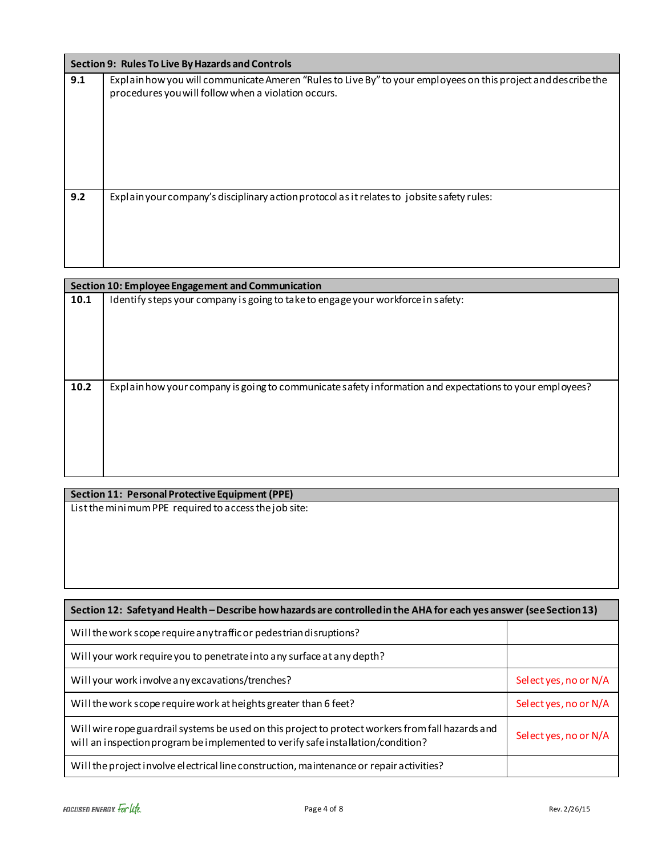|     | Section 9: Rules To Live By Hazards and Controls                                                                                                                     |
|-----|----------------------------------------------------------------------------------------------------------------------------------------------------------------------|
| 9.1 | Explain how you will communicate Ameren "Rules to Live By" to your employees on this project and describe the<br>procedures you will follow when a violation occurs. |
| 9.2 | Explain your company's disciplinary action protocol as it relates to jobsite safety rules:                                                                           |

|      | Section 10: Employee Engagement and Communication                                                       |
|------|---------------------------------------------------------------------------------------------------------|
| 10.1 | Identify steps your company is going to take to engage your workforce in safety:                        |
|      |                                                                                                         |
|      |                                                                                                         |
|      |                                                                                                         |
|      |                                                                                                         |
|      |                                                                                                         |
| 10.2 | Explain how your company is going to communicate safety information and expectations to your employees? |
|      |                                                                                                         |
|      |                                                                                                         |
|      |                                                                                                         |
|      |                                                                                                         |
|      |                                                                                                         |

## **Section 11: Personal Protective Equipment (PPE)**

List the minimum PPE required to access the job site:

| Section 12: Safetyand Health - Describe how hazards are controlled in the AHA for each yes answer (see Section 13)                                                                    |                      |  |  |  |  |
|---------------------------------------------------------------------------------------------------------------------------------------------------------------------------------------|----------------------|--|--|--|--|
| Will the work scope require any traffic or pedestrian disruptions?                                                                                                                    |                      |  |  |  |  |
| Will your work require you to penetrate into any surface at any depth?                                                                                                                |                      |  |  |  |  |
| Will your work involve any excavations/trenches?                                                                                                                                      | Selectyes, no or N/A |  |  |  |  |
| Will the work scope require work at heights greater than 6 feet?                                                                                                                      | Selectyes, no or N/A |  |  |  |  |
| Will wire rope guardrail systems be used on this project to protect workers from fall hazards and<br>will an inspection program be implemented to verify safe installation/condition? | Selectyes, no or N/A |  |  |  |  |
| Will the project involve electrical line construction, maintenance or repair activities?                                                                                              |                      |  |  |  |  |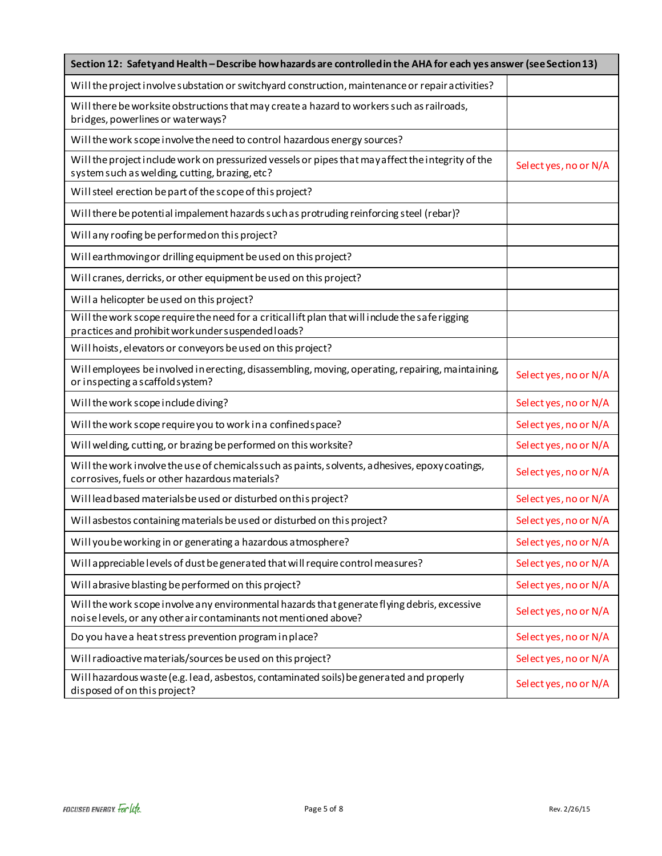| Section 12: Safetyand Health - Describe how hazards are controlled in the AHA for each yes answer (see Section 13)                                               |                      |  |  |  |  |  |
|------------------------------------------------------------------------------------------------------------------------------------------------------------------|----------------------|--|--|--|--|--|
| Will the project involve substation or switchyard construction, maintenance or repair activities?                                                                |                      |  |  |  |  |  |
| Will there be worksite obstructions that may create a hazard to workers such as railroads,<br>bridges, powerlines or waterways?                                  |                      |  |  |  |  |  |
| Will the work scope involve the need to control hazardous energy sources?                                                                                        |                      |  |  |  |  |  |
| Will the project include work on pressurized vessels or pipes that may affect the integrity of the<br>system such as welding, cutting, brazing, etc?             | Selectyes, no or N/A |  |  |  |  |  |
| Will steel erection be part of the scope of this project?                                                                                                        |                      |  |  |  |  |  |
| Will there be potential impalement hazards such as protruding reinforcing steel (rebar)?                                                                         |                      |  |  |  |  |  |
| Will any roofing be performed on this project?                                                                                                                   |                      |  |  |  |  |  |
| Will earthmoving or drilling equipment be used on this project?                                                                                                  |                      |  |  |  |  |  |
| Will cranes, derricks, or other equipment be used on this project?                                                                                               |                      |  |  |  |  |  |
| Will a helicopter be used on this project?                                                                                                                       |                      |  |  |  |  |  |
| Will the work scope require the need for a criticallift plan that will include the safe rigging<br>practices and prohibit work under suspended loads?            |                      |  |  |  |  |  |
| Will hoists, elevators or conveyors be used on this project?                                                                                                     |                      |  |  |  |  |  |
| Will employees be involved in erecting, disassembling, moving, operating, repairing, maintaining,<br>or inspecting a scaffold system?                            | Selectyes, no or N/A |  |  |  |  |  |
| Will the work scope include diving?                                                                                                                              | Selectyes, no or N/A |  |  |  |  |  |
| Will the work scope require you to work in a confined space?                                                                                                     | Selectyes, no or N/A |  |  |  |  |  |
| Will welding, cutting, or brazing be performed on this worksite?                                                                                                 | Selectyes, no or N/A |  |  |  |  |  |
| Will the work involve the use of chemicals such as paints, solvents, adhesives, epoxy coatings,<br>corrosives, fuels or other hazardous materials?               | Selectyes, no or N/A |  |  |  |  |  |
| Will lead based materials be used or disturbed on this project?                                                                                                  | Selectyes, no or N/A |  |  |  |  |  |
| Will asbestos containing materials be used or disturbed on this project?                                                                                         | Selectyes, no or N/A |  |  |  |  |  |
| Will you be working in or generating a hazardous atmosphere?                                                                                                     | Selectyes, no or N/A |  |  |  |  |  |
| Will appreciable levels of dust be generated that will require control measures?                                                                                 | Selectyes, no or N/A |  |  |  |  |  |
| Will a brasive blasting be performed on this project?                                                                                                            | Selectyes, no or N/A |  |  |  |  |  |
| Will the work scope involve any environmental hazards that generate flying debris, excessive<br>noise levels, or any other air contaminants not mentioned above? | Selectyes, no or N/A |  |  |  |  |  |
| Do you have a heat stress prevention program in place?                                                                                                           | Selectyes, no or N/A |  |  |  |  |  |
| Will radioactive materials/sources be used on this project?                                                                                                      | Selectyes, no or N/A |  |  |  |  |  |
| Will hazardous waste (e.g. lead, asbestos, contaminated soils) be generated and properly<br>disposed of on this project?                                         | Selectyes, no or N/A |  |  |  |  |  |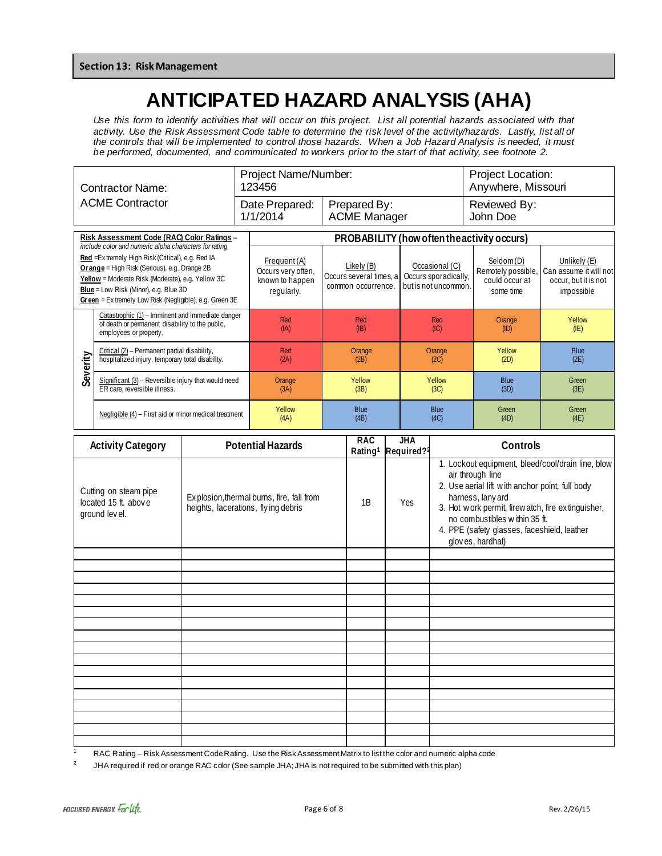# **ANTICIPATED HAZARD ANALYSIS (AHA)**

*Use this form to identify activities that will occur on this project. List all potential hazards associated with that*  activity. Use the Risk Assessment Code table to determine the risk level of the activity/hazards. Lastly, list all of *the controls that will be implemented to control those hazards. When a Job Hazard Analysis is needed, it must be performed, documented, and communicated to workers prior to the start of that activity, see footnote 2.*

| <b>Contractor Name:</b><br><b>ACME Contractor</b> |                                                                                                                                                                                                                                                                                                                     |                                                                   | Project Name/Number:<br>123456                                      |                                                             | Project Location:<br>Anywhere, Missouri                        |                                                                 |                                                                              |  |
|---------------------------------------------------|---------------------------------------------------------------------------------------------------------------------------------------------------------------------------------------------------------------------------------------------------------------------------------------------------------------------|-------------------------------------------------------------------|---------------------------------------------------------------------|-------------------------------------------------------------|----------------------------------------------------------------|-----------------------------------------------------------------|------------------------------------------------------------------------------|--|
|                                                   |                                                                                                                                                                                                                                                                                                                     | Prepared By:<br>Date Prepared:<br><b>ACME Manager</b><br>1/1/2014 |                                                                     |                                                             |                                                                | Reviewed By:<br>John Doe                                        |                                                                              |  |
| Risk Assessment Code (RAC) Color Ratings -        |                                                                                                                                                                                                                                                                                                                     |                                                                   | PROBABILITY (how often the activity occurs)                         |                                                             |                                                                |                                                                 |                                                                              |  |
|                                                   | include color and numeric alpha characters for rating<br>Red = Extremely High Risk (Critical), e.g. Red IA<br>Or ange = High Risk (Serious), e.g. Orange 2B<br>Yellow = Moderate Risk (Moderate), e.g. Yellow 3C<br>Blue = Low Risk (Minor), e.g. Blue 3D<br>Green = Extremely Low Risk (Negligible), e.g. Green 3E |                                                                   | Frequent (A)<br>Occurs very often,<br>known to happen<br>regularly. | Likely (B)<br>Occurs several times, a<br>common occurrence. | Occasional (C)<br>Occurs sporadically,<br>but is not uncommon. | Seldom (D)<br>Remotely possible,<br>could occur at<br>some time | Unlikely (E)<br>Can assume it will not<br>occur, but it is not<br>impossible |  |
|                                                   | Catastrophic (1) - Imminent and immediate danger<br>of death or permanent disability to the public.<br>employees or property.                                                                                                                                                                                       |                                                                   | Red<br>(A)                                                          | Red<br>(B)                                                  | Red<br>(IC)                                                    | Orange<br>(1D)                                                  | Yellow<br>(E)                                                                |  |
| Severity                                          | Critical (2) - Permanent partial disability,<br>hospitalized injury, temporary total disability.                                                                                                                                                                                                                    |                                                                   | Red<br>(2A)                                                         | Orange<br>(2B)                                              | Orange<br>(2C)                                                 | Yellow<br>(2D)                                                  | <b>Blue</b><br>(2E)                                                          |  |
|                                                   | $Significant (3)$ – Reversible injury that would need<br>ER care, reversible illness.                                                                                                                                                                                                                               |                                                                   | Orange<br>(3A)                                                      | Yellow<br>(3B)                                              | Yellow<br>(3C)                                                 | <b>Blue</b><br>(3D)                                             | Green<br>(3E)                                                                |  |
|                                                   | Negligible (4) - First aid or minor medical treatment                                                                                                                                                                                                                                                               |                                                                   | Yellow<br>(AA)                                                      | <b>Blue</b><br>(4B)                                         | <b>Blue</b><br>(4C)                                            | Green<br>(4D)                                                   | Green<br>(4E)                                                                |  |

| <b>Activity Category</b>                                       | <b>Potential Hazards</b>                                                          | <b>RAC</b><br>Rating <sup>1</sup> | <b>JHA</b><br>Required? <sup>2</sup> | Controls                                                                                                                                                                                                                                                                                               |
|----------------------------------------------------------------|-----------------------------------------------------------------------------------|-----------------------------------|--------------------------------------|--------------------------------------------------------------------------------------------------------------------------------------------------------------------------------------------------------------------------------------------------------------------------------------------------------|
| Cutting on steam pipe<br>located 15 ft. above<br>ground level. | Ex plosion, thermal burns, fire, fall from<br>heights, lacerations, flying debris | 1B                                | Yes                                  | 1. Lockout equipment, bleed/cool/drain line, blow<br>air through line<br>2. Use aerial lift with anchor point, full body<br>harness, lany ard<br>3. Hot work permit, firewatch, fire extinguisher,<br>no combustibles within 35 ft.<br>4. PPE (safety glasses, faceshield, leather<br>gloves, hardhat) |
|                                                                |                                                                                   |                                   |                                      |                                                                                                                                                                                                                                                                                                        |
|                                                                |                                                                                   |                                   |                                      |                                                                                                                                                                                                                                                                                                        |
|                                                                |                                                                                   |                                   |                                      |                                                                                                                                                                                                                                                                                                        |
|                                                                |                                                                                   |                                   |                                      |                                                                                                                                                                                                                                                                                                        |
|                                                                |                                                                                   |                                   |                                      |                                                                                                                                                                                                                                                                                                        |
|                                                                |                                                                                   |                                   |                                      |                                                                                                                                                                                                                                                                                                        |
|                                                                |                                                                                   |                                   |                                      |                                                                                                                                                                                                                                                                                                        |
|                                                                |                                                                                   |                                   |                                      |                                                                                                                                                                                                                                                                                                        |
|                                                                |                                                                                   |                                   |                                      |                                                                                                                                                                                                                                                                                                        |
|                                                                |                                                                                   |                                   |                                      |                                                                                                                                                                                                                                                                                                        |
|                                                                |                                                                                   |                                   |                                      |                                                                                                                                                                                                                                                                                                        |
|                                                                |                                                                                   |                                   |                                      |                                                                                                                                                                                                                                                                                                        |
|                                                                |                                                                                   |                                   |                                      |                                                                                                                                                                                                                                                                                                        |
|                                                                |                                                                                   |                                   |                                      |                                                                                                                                                                                                                                                                                                        |
|                                                                |                                                                                   |                                   |                                      |                                                                                                                                                                                                                                                                                                        |
|                                                                |                                                                                   |                                   |                                      |                                                                                                                                                                                                                                                                                                        |

<sup>1</sup> RAC Rating – Risk Assessment Code Rating. Use the Risk Assessment Matrix to list the color and numeric alpha code

<sup>2</sup> JHA required if red or orange RAC color (See sample JHA; JHA is not required to be submitted with this plan)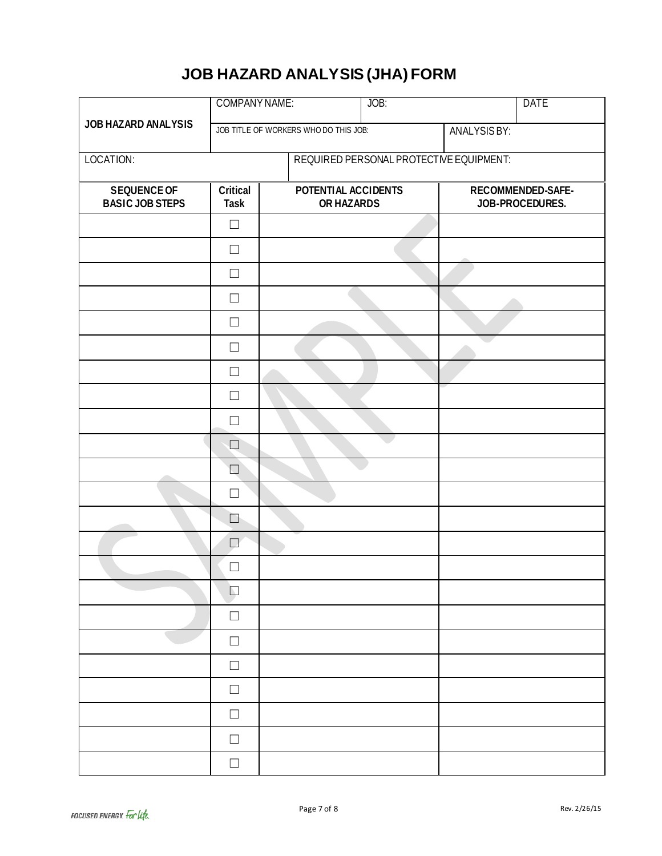# **JOB HAZARD ANALYSIS (JHA) FORM**

|                                              | <b>COMPANY NAME:</b>    |                                         | JOB: |              | <b>DATE</b>                          |  |  |
|----------------------------------------------|-------------------------|-----------------------------------------|------|--------------|--------------------------------------|--|--|
| JOB HAZARD ANALYSIS                          |                         | JOB TITLE OF WORKERS WHO DO THIS JOB:   |      | ANALYSIS BY: |                                      |  |  |
| LOCATION:                                    |                         | REQUIRED PERSONAL PROTECTIVE EQUIPMENT: |      |              |                                      |  |  |
| <b>SEQUENCE OF</b><br><b>BASIC JOB STEPS</b> | Critical<br><b>Task</b> | POTENTIAL ACCIDENTS<br>OR HAZARDS       |      |              | RECOMMENDED-SAFE-<br>JOB-PROCEDURES. |  |  |
|                                              | $\Box$                  |                                         |      |              |                                      |  |  |
|                                              | $\Box$                  |                                         |      |              |                                      |  |  |
|                                              | $\Box$                  |                                         |      |              |                                      |  |  |
|                                              | $\Box$                  |                                         |      |              |                                      |  |  |
|                                              | $\Box$                  |                                         |      |              |                                      |  |  |
|                                              | $\Box$                  |                                         |      |              |                                      |  |  |
|                                              | $\Box$                  |                                         |      |              |                                      |  |  |
|                                              | $\Box$                  |                                         |      |              |                                      |  |  |
|                                              | $\Box$                  |                                         |      |              |                                      |  |  |
|                                              | $\Box$                  |                                         |      |              |                                      |  |  |
|                                              | ┐                       |                                         |      |              |                                      |  |  |
|                                              | $\Box$                  |                                         |      |              |                                      |  |  |
|                                              | $\Box$                  |                                         |      |              |                                      |  |  |
|                                              | $\Box$                  |                                         |      |              |                                      |  |  |
|                                              |                         |                                         |      |              |                                      |  |  |
|                                              | $\Box$                  |                                         |      |              |                                      |  |  |
|                                              | $\Box$                  |                                         |      |              |                                      |  |  |
|                                              | $\Box$                  |                                         |      |              |                                      |  |  |
|                                              | $\Box$                  |                                         |      |              |                                      |  |  |
|                                              | $\Box$                  |                                         |      |              |                                      |  |  |
|                                              | $\Box$                  |                                         |      |              |                                      |  |  |
|                                              | $\Box$                  |                                         |      |              |                                      |  |  |
|                                              | $\Box$                  |                                         |      |              |                                      |  |  |